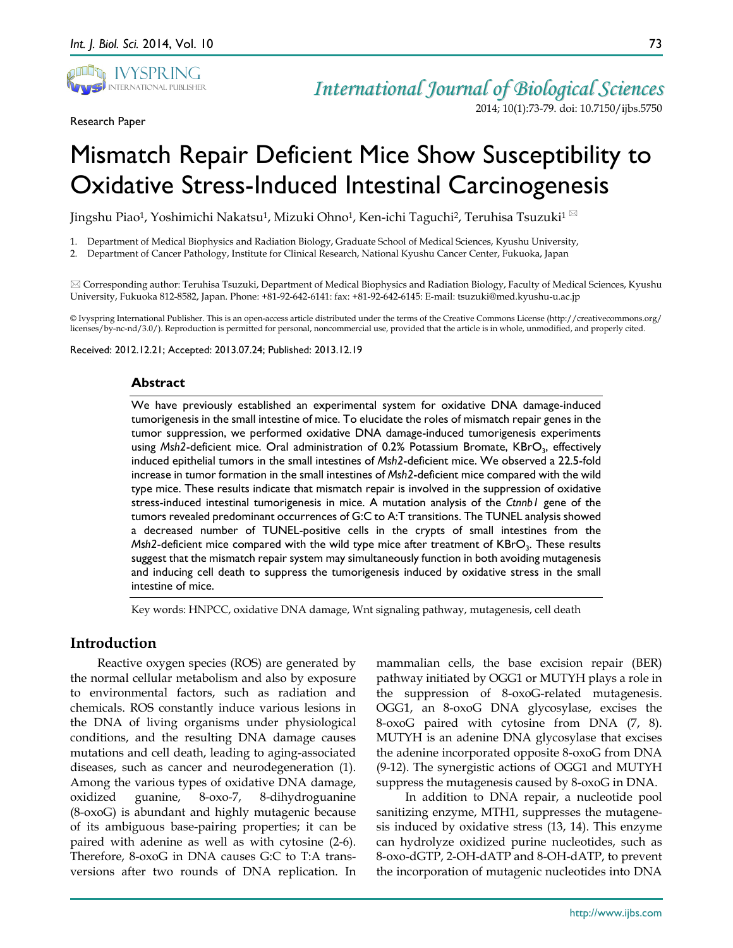

Research Paper

*International Journal of Biological Sciences* 2014; 10(1):73-79. doi: 10.7150/ijbs.5750

# Mismatch Repair Deficient Mice Show Susceptibility to Oxidative Stress-Induced Intestinal Carcinogenesis

Jingshu Piao<sup>1</sup>, Yoshimichi Nakatsu<sup>1</sup>, Mizuki Ohno<sup>1</sup>, Ken-ichi Taguchi<sup>2</sup>, Teruhisa Tsuzuki<sup>1  $\boxtimes$ </sup>

1. Department of Medical Biophysics and Radiation Biology, Graduate School of Medical Sciences, Kyushu University,

2. Department of Cancer Pathology, Institute for Clinical Research, National Kyushu Cancer Center, Fukuoka, Japan

 Corresponding author: Teruhisa Tsuzuki, Department of Medical Biophysics and Radiation Biology, Faculty of Medical Sciences, Kyushu University, Fukuoka 812-8582, Japan. Phone: +81-92-642-6141: fax: +81-92-642-6145: E-mail: tsuzuki@med.kyushu-u.ac.jp

© Ivyspring International Publisher. This is an open-access article distributed under the terms of the Creative Commons License (http://creativecommons.org/ licenses/by-nc-nd/3.0/). Reproduction is permitted for personal, noncommercial use, provided that the article is in whole, unmodified, and properly cited.

Received: 2012.12.21; Accepted: 2013.07.24; Published: 2013.12.19

#### **Abstract**

We have previously established an experimental system for oxidative DNA damage-induced tumorigenesis in the small intestine of mice. To elucidate the roles of mismatch repair genes in the tumor suppression, we performed oxidative DNA damage-induced tumorigenesis experiments using *Msh2*-deficient mice. Oral administration of 0.2% Potassium Bromate, KBrO<sub>3</sub>, effectively induced epithelial tumors in the small intestines of *Msh2*-deficient mice. We observed a 22.5-fold increase in tumor formation in the small intestines of *Msh2*-deficient mice compared with the wild type mice. These results indicate that mismatch repair is involved in the suppression of oxidative stress-induced intestinal tumorigenesis in mice. A mutation analysis of the *Ctnnb1* gene of the tumors revealed predominant occurrences of G:C to A:T transitions. The TUNEL analysis showed a decreased number of TUNEL-positive cells in the crypts of small intestines from the *Msh2*-deficient mice compared with the wild type mice after treatment of KBrO<sub>3</sub>. These results suggest that the mismatch repair system may simultaneously function in both avoiding mutagenesis and inducing cell death to suppress the tumorigenesis induced by oxidative stress in the small intestine of mice.

Key words: HNPCC, oxidative DNA damage, Wnt signaling pathway, mutagenesis, cell death

## **Introduction**

Reactive oxygen species (ROS) are generated by the normal cellular metabolism and also by exposure to environmental factors, such as radiation and chemicals. ROS constantly induce various lesions in the DNA of living organisms under physiological conditions, and the resulting DNA damage causes mutations and cell death, leading to aging-associated diseases, such as cancer and neurodegeneration (1). Among the various types of oxidative DNA damage, oxidized guanine, 8-oxo-7, 8-dihydroguanine (8-oxoG) is abundant and highly mutagenic because of its ambiguous base-pairing properties; it can be paired with adenine as well as with cytosine (2-6). Therefore, 8-oxoG in DNA causes G:C to T:A transversions after two rounds of DNA replication. In

mammalian cells, the base excision repair (BER) pathway initiated by OGG1 or MUTYH plays a role in the suppression of 8-oxoG-related mutagenesis. OGG1, an 8-oxoG DNA glycosylase, excises the 8-oxoG paired with cytosine from DNA (7, 8). MUTYH is an adenine DNA glycosylase that excises the adenine incorporated opposite 8-oxoG from DNA (9-12). The synergistic actions of OGG1 and MUTYH suppress the mutagenesis caused by 8-oxoG in DNA.

In addition to DNA repair, a nucleotide pool sanitizing enzyme, MTH1, suppresses the mutagenesis induced by oxidative stress (13, 14). This enzyme can hydrolyze oxidized purine nucleotides, such as 8-oxo-dGTP, 2-OH-dATP and 8-OH-dATP, to prevent the incorporation of mutagenic nucleotides into DNA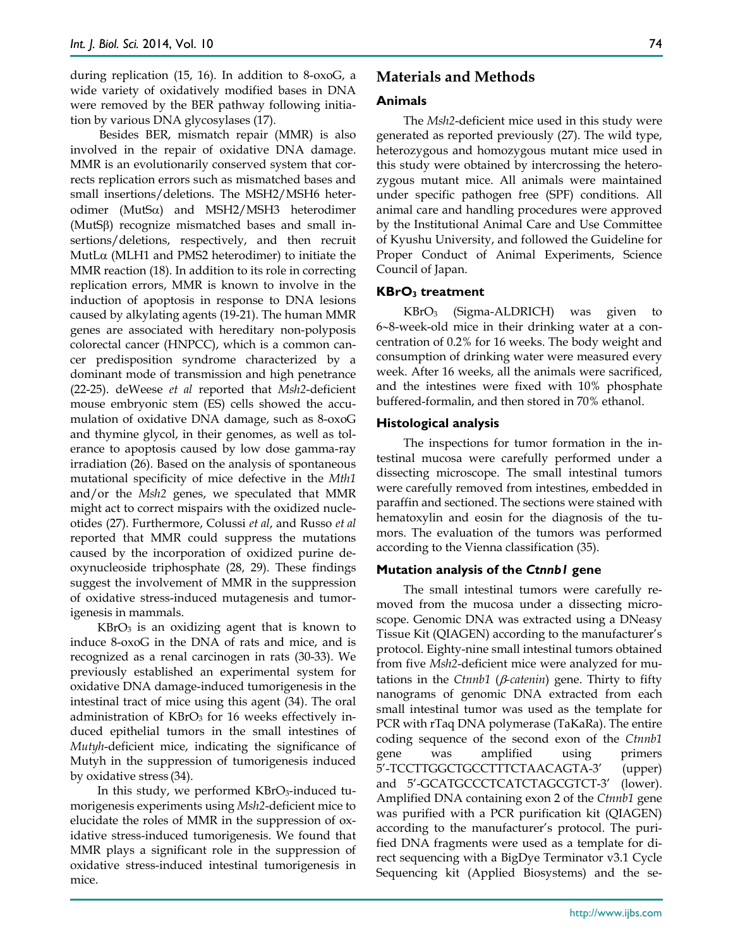during replication (15, 16). In addition to 8-oxoG, a wide variety of oxidatively modified bases in DNA were removed by the BER pathway following initiation by various DNA glycosylases (17).

Besides BER, mismatch repair (MMR) is also involved in the repair of oxidative DNA damage. MMR is an evolutionarily conserved system that corrects replication errors such as mismatched bases and small insertions/deletions. The MSH2/MSH6 heterodimer (MutSα) and MSH2/MSH3 heterodimer (MutSβ) recognize mismatched bases and small insertions/deletions, respectively, and then recruit MutLα (MLH1 and PMS2 heterodimer) to initiate the MMR reaction (18). In addition to its role in correcting replication errors, MMR is known to involve in the induction of apoptosis in response to DNA lesions caused by alkylating agents (19-21). The human MMR genes are associated with hereditary non-polyposis colorectal cancer (HNPCC), which is a common cancer predisposition syndrome characterized by a dominant mode of transmission and high penetrance (22-25). deWeese *et al* reported that *Msh2*-deficient mouse embryonic stem (ES) cells showed the accumulation of oxidative DNA damage, such as 8-oxoG and thymine glycol, in their genomes, as well as tolerance to apoptosis caused by low dose gamma-ray irradiation (26). Based on the analysis of spontaneous mutational specificity of mice defective in the *Mth1* and/or the *Msh2* genes, we speculated that MMR might act to correct mispairs with the oxidized nucleotides (27). Furthermore, Colussi *et al*, and Russo *et al* reported that MMR could suppress the mutations caused by the incorporation of oxidized purine deoxynucleoside triphosphate (28, 29). These findings suggest the involvement of MMR in the suppression of oxidative stress-induced mutagenesis and tumorigenesis in mammals.

 $KBrO<sub>3</sub>$  is an oxidizing agent that is known to induce 8-oxoG in the DNA of rats and mice, and is recognized as a renal carcinogen in rats (30-33). We previously established an experimental system for oxidative DNA damage-induced tumorigenesis in the intestinal tract of mice using this agent (34). The oral administration of  $KBrO<sub>3</sub>$  for 16 weeks effectively induced epithelial tumors in the small intestines of *Mutyh*-deficient mice, indicating the significance of Mutyh in the suppression of tumorigenesis induced by oxidative stress (34).

In this study, we performed KBrO<sub>3</sub>-induced tumorigenesis experiments using *Msh2*-deficient mice to elucidate the roles of MMR in the suppression of oxidative stress-induced tumorigenesis. We found that MMR plays a significant role in the suppression of oxidative stress-induced intestinal tumorigenesis in mice.

## **Materials and Methods**

#### **Animals**

The *Msh2*-deficient mice used in this study were generated as reported previously (27). The wild type, heterozygous and homozygous mutant mice used in this study were obtained by intercrossing the heterozygous mutant mice. All animals were maintained under specific pathogen free (SPF) conditions. All animal care and handling procedures were approved by the Institutional Animal Care and Use Committee of Kyushu University, and followed the Guideline for Proper Conduct of Animal Experiments, Science Council of Japan.

### **KBrO3 treatment**

 $KBrO<sub>3</sub>$  (Sigma-ALDRICH) was given to 6∼8-week-old mice in their drinking water at a concentration of 0.2% for 16 weeks. The body weight and consumption of drinking water were measured every week. After 16 weeks, all the animals were sacrificed, and the intestines were fixed with 10% phosphate buffered-formalin, and then stored in 70% ethanol.

## **Histological analysis**

The inspections for tumor formation in the intestinal mucosa were carefully performed under a dissecting microscope. The small intestinal tumors were carefully removed from intestines, embedded in paraffin and sectioned. The sections were stained with hematoxylin and eosin for the diagnosis of the tumors. The evaluation of the tumors was performed according to the Vienna classification (35).

## **Mutation analysis of the** *Ctnnb1* **gene**

The small intestinal tumors were carefully removed from the mucosa under a dissecting microscope. Genomic DNA was extracted using a DNeasy Tissue Kit (QIAGEN) according to the manufacturer's protocol. Eighty-nine small intestinal tumors obtained from five *Msh2*-deficient mice were analyzed for mutations in the *Ctnnb1* (β*-catenin*) gene. Thirty to fifty nanograms of genomic DNA extracted from each small intestinal tumor was used as the template for PCR with rTaq DNA polymerase (TaKaRa). The entire coding sequence of the second exon of the *Ctnnb1* gene was amplified using primers 5'-TCCTTGGCTGCCTTTCTAACAGTA-3' (upper) and 5'-GCATGCCCTCATCTAGCGTCT-3' (lower). Amplified DNA containing exon 2 of the *Ctnnb1* gene was purified with a PCR purification kit (QIAGEN) according to the manufacturer's protocol. The purified DNA fragments were used as a template for direct sequencing with a BigDye Terminator v3.1 Cycle Sequencing kit (Applied Biosystems) and the se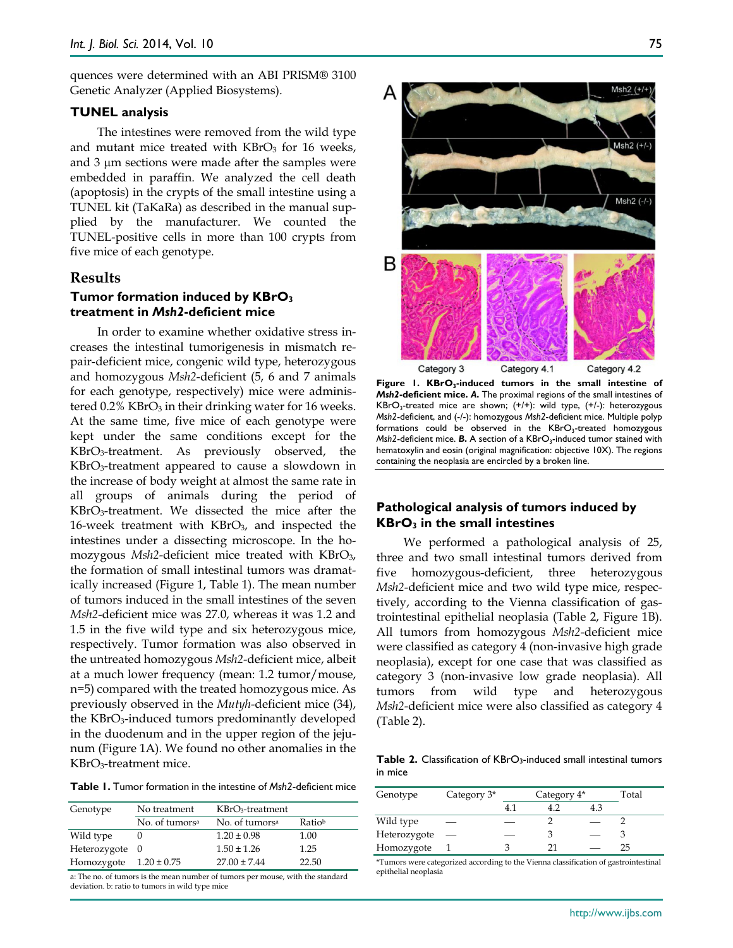quences were determined with an ABI PRISM® 3100 Genetic Analyzer (Applied Biosystems).

#### **TUNEL analysis**

The intestines were removed from the wild type and mutant mice treated with  $KBrO<sub>3</sub>$  for 16 weeks, and 3 µm sections were made after the samples were embedded in paraffin. We analyzed the cell death (apoptosis) in the crypts of the small intestine using a TUNEL kit (TaKaRa) as described in the manual supplied by the manufacturer. We counted the TUNEL-positive cells in more than 100 crypts from five mice of each genotype.

#### **Results**

## **Tumor formation induced by KBrO3 treatment in** *Msh2***-deficient mice**

In order to examine whether oxidative stress increases the intestinal tumorigenesis in mismatch repair-deficient mice, congenic wild type, heterozygous and homozygous *Msh2*-deficient (5, 6 and 7 animals for each genotype, respectively) mice were administered 0.2% KBrO<sub>3</sub> in their drinking water for 16 weeks. At the same time, five mice of each genotype were kept under the same conditions except for the KBrO3-treatment. As previously observed, the KBrO3-treatment appeared to cause a slowdown in the increase of body weight at almost the same rate in all groups of animals during the period of KBrO3-treatment. We dissected the mice after the 16-week treatment with  $KBrO<sub>3</sub>$ , and inspected the intestines under a dissecting microscope. In the homozygous *Msh2*-deficient mice treated with KBrO<sub>3</sub>, the formation of small intestinal tumors was dramatically increased (Figure 1, Table 1). The mean number of tumors induced in the small intestines of the seven *Msh2*-deficient mice was 27.0, whereas it was 1.2 and 1.5 in the five wild type and six heterozygous mice, respectively. Tumor formation was also observed in the untreated homozygous *Msh2*-deficient mice, albeit at a much lower frequency (mean: 1.2 tumor/mouse, n=5) compared with the treated homozygous mice. As previously observed in the *Mutyh*-deficient mice (34), the KBrO3-induced tumors predominantly developed in the duodenum and in the upper region of the jejunum (Figure 1A). We found no other anomalies in the KBrO3-treatment mice.

**Table 1.** Tumor formation in the intestine of *Msh2*-deficient mice

| Genotype                   | No treatment               | $KBrO3$ -treatment         |        |
|----------------------------|----------------------------|----------------------------|--------|
|                            | No. of tumors <sup>a</sup> | No. of tumors <sup>a</sup> | Ratiob |
| Wild type                  |                            | $1.20 \pm 0.98$            | 1.00   |
| Heterozygote 0             |                            | $1.50 \pm 1.26$            | 1.25   |
| Homozygote $1.20 \pm 0.75$ |                            | $27.00 \pm 7.44$           | 22.50  |
|                            |                            |                            |        |

a: The no. of tumors is the mean number of tumors per mouse, with the standard deviation. b: ratio to tumors in wild type mice



Figure 1. KBrO<sub>3</sub>-induced tumors in the small intestine of *Msh2***-deficient mice.** *A***.** The proximal regions of the small intestines of  $KBrO<sub>3</sub>$ -treated mice are shown; (+/+): wild type, (+/-): heterozygous *Msh2*-deficient, and (-/-): homozygous *Msh2*-deficient mice. Multiple polyp formations could be observed in the KBrO<sub>3</sub>-treated homozygous *Msh2*-deficient mice. **B.** A section of a KBrO<sub>3</sub>-induced tumor stained with hematoxylin and eosin (original magnification: objective 10X). The regions containing the neoplasia are encircled by a broken line.

#### **Pathological analysis of tumors induced by KBrO3 in the small intestines**

We performed a pathological analysis of 25, three and two small intestinal tumors derived from five homozygous-deficient, three heterozygous *Msh2*-deficient mice and two wild type mice, respectively, according to the Vienna classification of gastrointestinal epithelial neoplasia (Table 2, Figure 1B). All tumors from homozygous *Msh2*-deficient mice were classified as category 4 (non-invasive high grade neoplasia), except for one case that was classified as category 3 (non-invasive low grade neoplasia). All tumors from wild type and heterozygous *Msh2*-deficient mice were also classified as category 4 (Table 2).

**Table 2.** Classification of KBrO3-induced small intestinal tumors in mice

| Genotype     | Category $3*$ | Category 4* |  |  | Total |
|--------------|---------------|-------------|--|--|-------|
|              |               |             |  |  |       |
| Wild type    | --            |             |  |  |       |
| Heterozygote |               |             |  |  |       |
| Homozygote   |               |             |  |  | ר!    |

\*Tumors were categorized according to the Vienna classification of gastrointestinal epithelial neoplasia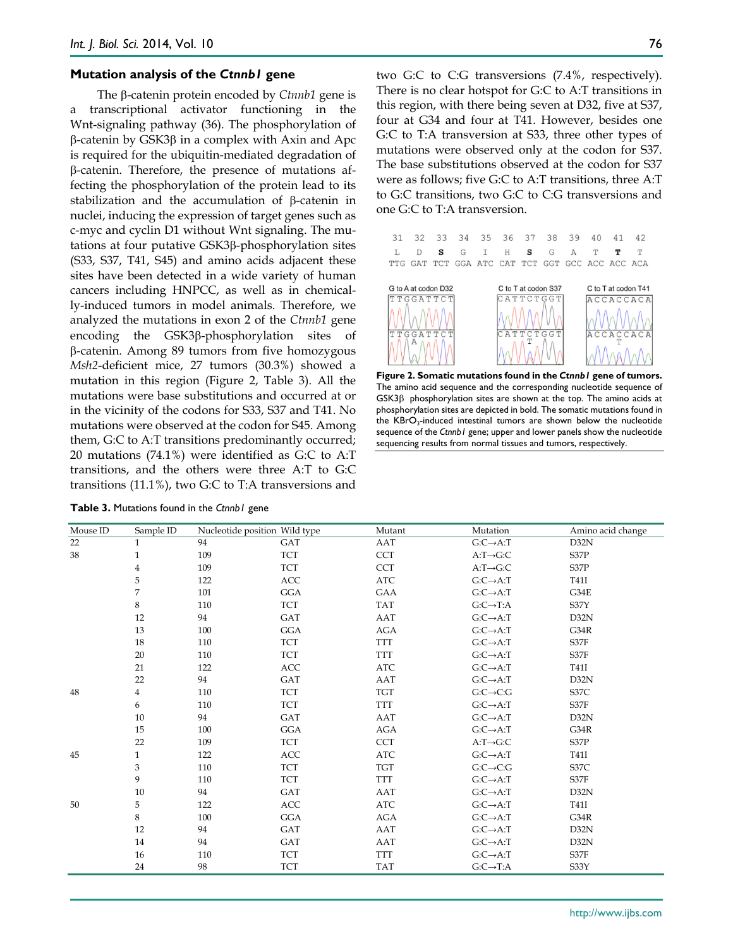#### **Mutation analysis of the** *Ctnnb1* **gene**

The β-catenin protein encoded by *Ctnnb1* gene is a transcriptional activator functioning in the Wnt-signaling pathway (36). The phosphorylation of β-catenin by GSK3β in a complex with Axin and Apc is required for the ubiquitin-mediated degradation of β-catenin. Therefore, the presence of mutations affecting the phosphorylation of the protein lead to its stabilization and the accumulation of β-catenin in nuclei, inducing the expression of target genes such as c-myc and cyclin D1 without Wnt signaling. The mutations at four putative GSK3β-phosphorylation sites (S33, S37, T41, S45) and amino acids adjacent these sites have been detected in a wide variety of human cancers including HNPCC, as well as in chemically-induced tumors in model animals. Therefore, we analyzed the mutations in exon 2 of the *Ctnnb1* gene encoding the GSK3β-phosphorylation sites of β-catenin. Among 89 tumors from five homozygous *Msh2*-deficient mice, 27 tumors (30.3%) showed a mutation in this region (Figure 2, Table 3). All the mutations were base substitutions and occurred at or in the vicinity of the codons for S33, S37 and T41. No mutations were observed at the codon for S45. Among them, G:C to A:T transitions predominantly occurred; 20 mutations (74.1%) were identified as G:C to A:T transitions, and the others were three A:T to G:C transitions (11.1%), two G:C to T:A transversions and

**Table 3.** Mutations found in the *Ctnnb1* gene

two G:C to C:G transversions (7.4%, respectively). There is no clear hotspot for G:C to A:T transitions in this region, with there being seven at D32, five at S37, four at G34 and four at T41. However, besides one G:C to T:A transversion at S33, three other types of mutations were observed only at the codon for S37. The base substitutions observed at the codon for S37 were as follows; five G:C to A:T transitions, three A:T to G:C transitions, two G:C to C:G transversions and one G:C to T:A transversion.



**Figure 2. Somatic mutations found in the** *Ctnnb1* **gene of tumors.** The amino acid sequence and the corresponding nucleotide sequence of GSK3β phosphorylation sites are shown at the top. The amino acids at phosphorylation sites are depicted in bold. The somatic mutations found in the  $KBrO<sub>3</sub>$ -induced intestinal tumors are shown below the nucleotide sequence of the *Ctnnb1* gene; upper and lower panels show the nucleotide sequencing results from normal tissues and tumors, respectively.

| Mouse ID | Sample ID               |     | Nucleotide position Wild type | Mutant     | Mutation                | Amino acid change |
|----------|-------------------------|-----|-------------------------------|------------|-------------------------|-------------------|
| 22       | $\mathbf{1}$            | 94  | GAT                           | AAT        | $G:C\rightarrow A:T$    | D32N              |
| 38       | $\mathbf{1}$            | 109 | <b>TCT</b>                    | <b>CCT</b> | $A: T \rightarrow G:C$  | S37P              |
|          | $\overline{4}$          | 109 | <b>TCT</b>                    | <b>CCT</b> | $A: T \rightarrow G: C$ | S37P              |
|          | 5                       | 122 | ACC                           | <b>ATC</b> | $G: C \rightarrow A$ :T | T41I              |
|          | 7                       | 101 | <b>GGA</b>                    | GAA        | $G: C \rightarrow A$ :T | G34E              |
|          | 8                       | 110 | <b>TCT</b>                    | <b>TAT</b> | $G: C \rightarrow T: A$ | S37Y              |
|          | 12                      | 94  | GAT                           | AAT        | $G: C \rightarrow A$ :T | D32N              |
|          | 13                      | 100 | <b>GGA</b>                    | <b>AGA</b> | $G: C \rightarrow A$ :T | G34R              |
|          | 18                      | 110 | <b>TCT</b>                    | <b>TTT</b> | $G: C \rightarrow A$ :T | S37F              |
|          | 20                      | 110 | <b>TCT</b>                    | <b>TTT</b> | $G: C \rightarrow A$ :T | S37F              |
|          | 21                      | 122 | <b>ACC</b>                    | <b>ATC</b> | $G: C \rightarrow A$ :T | T41I              |
|          | 22                      | 94  | GAT                           | AAT        | $G: C \rightarrow A$ :T | D32N              |
| 48       | $\overline{\mathbf{4}}$ | 110 | <b>TCT</b>                    | <b>TGT</b> | $G: C \rightarrow C: G$ | S37C              |
|          | 6                       | 110 | <b>TCT</b>                    | <b>TTT</b> | $G: C \rightarrow A$ :T | S37F              |
|          | 10                      | 94  | GAT                           | AAT        | $G: C \rightarrow A$ :T | D32N              |
|          | 15                      | 100 | GGA                           | AGA        | $G: C \rightarrow A$ :T | G34R              |
|          | 22                      | 109 | <b>TCT</b>                    | <b>CCT</b> | $A: T \rightarrow G: C$ | S37P              |
| 45       | $\mathbf{1}$            | 122 | ACC                           | <b>ATC</b> | $G: C \rightarrow A$ :T | <b>T41I</b>       |
|          | 3                       | 110 | <b>TCT</b>                    | <b>TGT</b> | $G: C \rightarrow C: G$ | S37C              |
|          | 9                       | 110 | <b>TCT</b>                    | <b>TTT</b> | $G: C \rightarrow A$ :T | S37F              |
|          | 10                      | 94  | GAT                           | AAT        | $G: C \rightarrow A$ :T | D32N              |
| 50       | 5                       | 122 | ACC                           | <b>ATC</b> | $G: C \rightarrow A$ :T | T41I              |
|          | 8                       | 100 | <b>GGA</b>                    | <b>AGA</b> | $G: C \rightarrow A$ :T | G34R              |
|          | 12                      | 94  | GAT                           | AAT        | $G: C \rightarrow A$ :T | D32N              |
|          | 14                      | 94  | GAT                           | AAT        | $G: C \rightarrow A$ :T | D32N              |
|          | 16                      | 110 | <b>TCT</b>                    | <b>TTT</b> | $G: C \rightarrow A$ :T | S37F              |
|          | 24                      | 98  | <b>TCT</b>                    | <b>TAT</b> | $G: C \rightarrow T: A$ | S33Y              |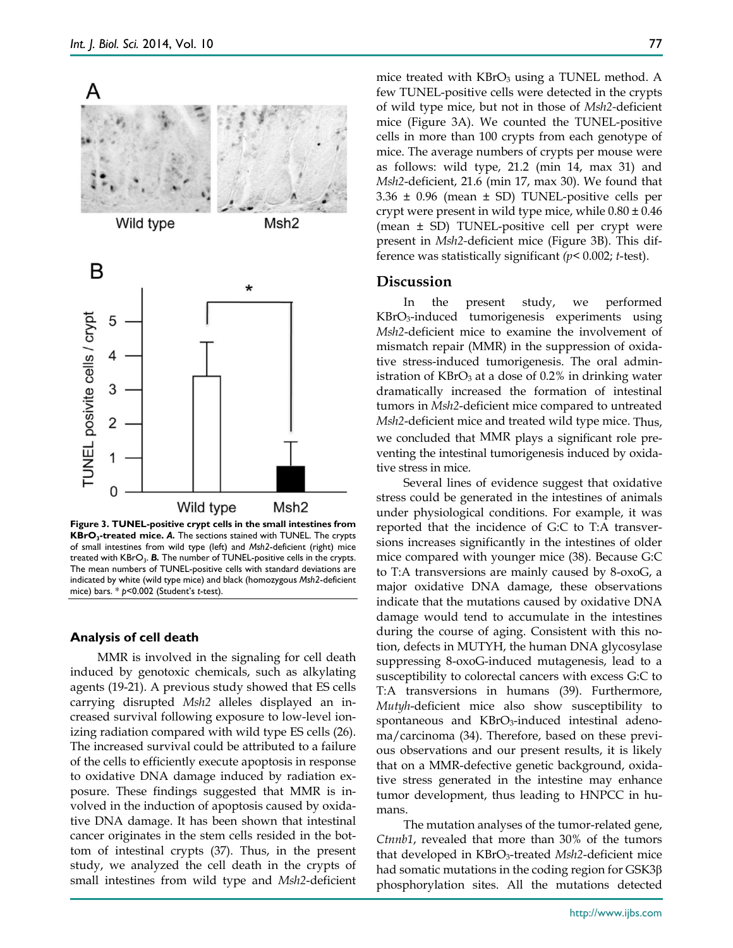

**Figure 3. TUNEL-positive crypt cells in the small intestines from KBrO3-treated mice.** *A.* The sections stained with TUNEL. The crypts of small intestines from wild type (left) and *Msh2*-deficient (right) mice treated with KBrO<sub>3</sub>. **B.** The number of TUNEL-positive cells in the crypts. The mean numbers of TUNEL-positive cells with standard deviations are indicated by white (wild type mice) and black (homozygous *Msh2*-deficient mice) bars. \* *p*<0.002 (Student's *t*-test).

#### **Analysis of cell death**

MMR is involved in the signaling for cell death induced by genotoxic chemicals, such as alkylating agents (19-21). A previous study showed that ES cells carrying disrupted *Msh2* alleles displayed an increased survival following exposure to low-level ionizing radiation compared with wild type ES cells (26). The increased survival could be attributed to a failure of the cells to efficiently execute apoptosis in response to oxidative DNA damage induced by radiation exposure. These findings suggested that MMR is involved in the induction of apoptosis caused by oxidative DNA damage. It has been shown that intestinal cancer originates in the stem cells resided in the bottom of intestinal crypts (37). Thus, in the present study, we analyzed the cell death in the crypts of small intestines from wild type and *Msh2*-deficient

mice treated with KBrO<sub>3</sub> using a TUNEL method. A few TUNEL-positive cells were detected in the crypts of wild type mice, but not in those of *Msh2-*deficient mice (Figure 3A). We counted the TUNEL-positive cells in more than 100 crypts from each genotype of mice. The average numbers of crypts per mouse were as follows: wild type, 21.2 (min 14, max 31) and *Msh2*-deficient, 21.6 (min 17, max 30). We found that 3.36 ± 0.96 (mean ± SD) TUNEL-positive cells per crypt were present in wild type mice, while  $0.80 \pm 0.46$ (mean ± SD) TUNEL-positive cell per crypt were present in *Msh2-*deficient mice (Figure 3B). This difference was statistically significant *(p*< 0.002; *t*-test).

#### **Discussion**

In the present study, we performed KBrO3-induced tumorigenesis experiments using *Msh2*-deficient mice to examine the involvement of mismatch repair (MMR) in the suppression of oxidative stress-induced tumorigenesis. The oral administration of KBrO<sub>3</sub> at a dose of 0.2% in drinking water dramatically increased the formation of intestinal tumors in *Msh2*-deficient mice compared to untreated *Msh2*-deficient mice and treated wild type mice. Thus, we concluded that MMR plays a significant role preventing the intestinal tumorigenesis induced by oxidative stress in mice.

Several lines of evidence suggest that oxidative stress could be generated in the intestines of animals under physiological conditions. For example, it was reported that the incidence of G:C to T:A transversions increases significantly in the intestines of older mice compared with younger mice (38). Because G:C to T:A transversions are mainly caused by 8-oxoG, a major oxidative DNA damage, these observations indicate that the mutations caused by oxidative DNA damage would tend to accumulate in the intestines during the course of aging. Consistent with this notion, defects in MUTYH, the human DNA glycosylase suppressing 8-oxoG-induced mutagenesis, lead to a susceptibility to colorectal cancers with excess G:C to T:A transversions in humans (39). Furthermore, *Mutyh*-deficient mice also show susceptibility to spontaneous and KBrO<sub>3</sub>-induced intestinal adenoma/carcinoma (34). Therefore, based on these previous observations and our present results, it is likely that on a MMR-defective genetic background, oxidative stress generated in the intestine may enhance tumor development, thus leading to HNPCC in humans.

The mutation analyses of the tumor-related gene, *Ctnnb1*, revealed that more than 30% of the tumors that developed in KBrO3-treated *Msh2*-deficient mice had somatic mutations in the coding region for GSK3β phosphorylation sites. All the mutations detected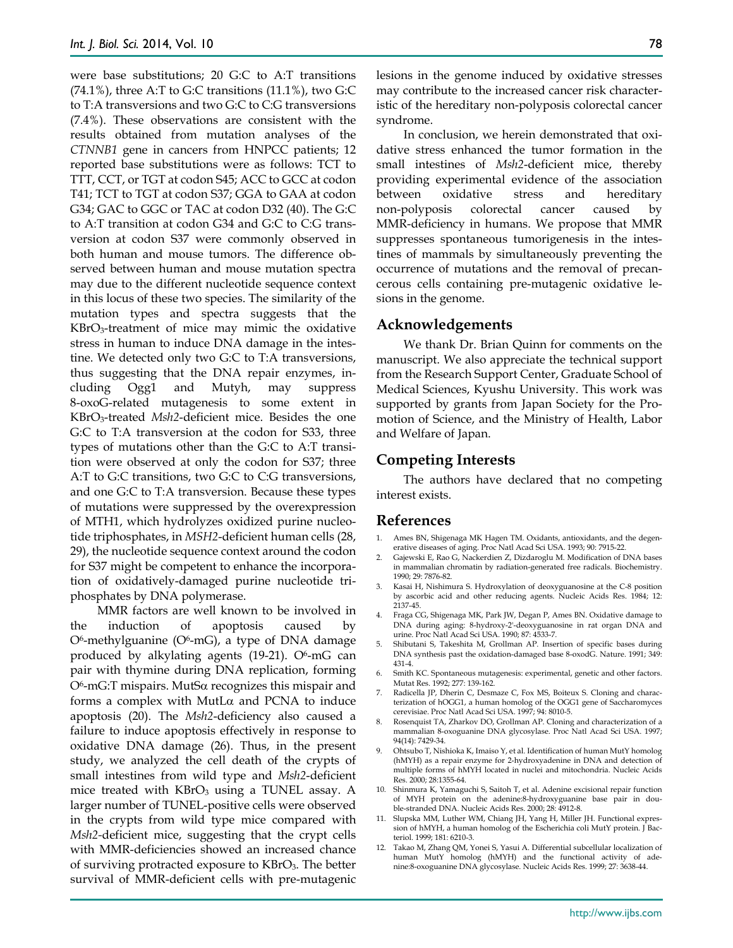were base substitutions; 20 G:C to A:T transitions  $(74.1\%)$ , three A:T to G:C transitions  $(11.1\%)$ , two G:C to T:A transversions and two G:C to C:G transversions (7.4%). These observations are consistent with the results obtained from mutation analyses of the *CTNNB1* gene in cancers from HNPCC patients; 12 reported base substitutions were as follows: TCT to TTT, CCT, or TGT at codon S45; ACC to GCC at codon T41; TCT to TGT at codon S37; GGA to GAA at codon G34; GAC to GGC or TAC at codon D32 (40). The G:C to A:T transition at codon G34 and G:C to C:G transversion at codon S37 were commonly observed in both human and mouse tumors. The difference observed between human and mouse mutation spectra may due to the different nucleotide sequence context in this locus of these two species. The similarity of the mutation types and spectra suggests that the KBrO3-treatment of mice may mimic the oxidative stress in human to induce DNA damage in the intestine. We detected only two G:C to T:A transversions, thus suggesting that the DNA repair enzymes, including Ogg1 and Mutyh, may suppress 8-oxoG-related mutagenesis to some extent in KBrO3-treated *Msh2*-deficient mice. Besides the one G:C to T:A transversion at the codon for S33, three types of mutations other than the G:C to A:T transition were observed at only the codon for S37; three A:T to G:C transitions, two G:C to C:G transversions, and one G:C to T:A transversion. Because these types of mutations were suppressed by the overexpression of MTH1, which hydrolyzes oxidized purine nucleotide triphosphates, in *MSH2*-deficient human cells (28, 29), the nucleotide sequence context around the codon for S37 might be competent to enhance the incorporation of oxidatively-damaged purine nucleotide triphosphates by DNA polymerase.

MMR factors are well known to be involved in the induction of apoptosis caused by  $O<sup>6</sup>$ -methylguanine ( $O<sup>6</sup>$ -mG), a type of DNA damage produced by alkylating agents  $(19-21)$ . O<sup>6</sup>-mG can pair with thymine during DNA replication, forming O6-mG:T mispairs. MutSα recognizes this mispair and forms a complex with MutL $\alpha$  and PCNA to induce apoptosis (20). The *Msh2*-deficiency also caused a failure to induce apoptosis effectively in response to oxidative DNA damage (26). Thus, in the present study, we analyzed the cell death of the crypts of small intestines from wild type and *Msh2*-deficient mice treated with  $KBrO<sub>3</sub>$  using a TUNEL assay. A larger number of TUNEL-positive cells were observed in the crypts from wild type mice compared with *Msh2-*deficient mice, suggesting that the crypt cells with MMR-deficiencies showed an increased chance of surviving protracted exposure to KBrO3. The better survival of MMR-deficient cells with pre-mutagenic

lesions in the genome induced by oxidative stresses may contribute to the increased cancer risk characteristic of the hereditary non-polyposis colorectal cancer syndrome.

In conclusion, we herein demonstrated that oxidative stress enhanced the tumor formation in the small intestines of *Msh2*-deficient mice, thereby providing experimental evidence of the association between oxidative stress and hereditary non-polyposis colorectal cancer caused by MMR-deficiency in humans. We propose that MMR suppresses spontaneous tumorigenesis in the intestines of mammals by simultaneously preventing the occurrence of mutations and the removal of precancerous cells containing pre-mutagenic oxidative lesions in the genome.

#### **Acknowledgements**

We thank Dr. Brian Quinn for comments on the manuscript. We also appreciate the technical support from the Research Support Center, Graduate School of Medical Sciences, Kyushu University. This work was supported by grants from Japan Society for the Promotion of Science, and the Ministry of Health, Labor and Welfare of Japan.

#### **Competing Interests**

The authors have declared that no competing interest exists.

#### **References**

- 1. Ames BN, Shigenaga MK Hagen TM. Oxidants, antioxidants, and the degenerative diseases of aging. Proc Natl Acad Sci USA. 1993; 90: 7915-22.
- 2. Gajewski E, Rao G, Nackerdien Z, Dizdaroglu M. Modification of DNA bases in mammalian chromatin by radiation-generated free radicals. Biochemistry. 1990; 29: 7876-82.
- 3. Kasai H, Nishimura S. Hydroxylation of deoxyguanosine at the C-8 position by ascorbic acid and other reducing agents. Nucleic Acids Res. 1984; 12: 2137-45.
- 4. Fraga CG, Shigenaga MK, Park JW, Degan P, Ames BN. Oxidative damage to DNA during aging: 8-hydroxy-2'-deoxyguanosine in rat organ DNA and urine. Proc Natl Acad Sci USA. 1990; 87: 4533-7.
- 5. Shibutani S, Takeshita M, Grollman AP. Insertion of specific bases during DNA synthesis past the oxidation-damaged base 8-oxodG. Nature. 1991; 349: 431-4.
- 6. Smith KC. Spontaneous mutagenesis: experimental, genetic and other factors. Mutat Res. 1992; 277: 139-162.
- 7. Radicella JP, Dherin C, Desmaze C, Fox MS, Boiteux S. Cloning and characterization of hOGG1, a human homolog of the OGG1 gene of Saccharomyces cerevisiae. Proc Natl Acad Sci USA. 1997; 94: 8010-5.
- 8. Rosenquist TA, Zharkov DO, Grollman AP. Cloning and characterization of a mammalian 8-oxoguanine DNA glycosylase. Proc Natl Acad Sci USA. 1997; 94(14): 7429-34.
- 9. Ohtsubo T, Nishioka K, Imaiso Y, et al. Identification of human MutY homolog (hMYH) as a repair enzyme for 2-hydroxyadenine in DNA and detection of multiple forms of hMYH located in nuclei and mitochondria. Nucleic Acids Res. 2000; 28:1355-64.
- 10. Shinmura K, Yamaguchi S, Saitoh T, et al. Adenine excisional repair function of MYH protein on the adenine:8-hydroxyguanine base pair in double-stranded DNA. Nucleic Acids Res. 2000; 28: 4912-8.
- 11. Slupska MM, Luther WM, Chiang JH, Yang H, Miller JH. Functional expression of hMYH, a human homolog of the Escherichia coli MutY protein. J Bacteriol. 1999; 181: 6210-3.
- 12. Takao M, Zhang QM, Yonei S, Yasui A. Differential subcellular localization of human MutY homolog (hMYH) and the functional activity of adenine:8-oxoguanine DNA glycosylase. Nucleic Acids Res. 1999; 27: 3638-44.